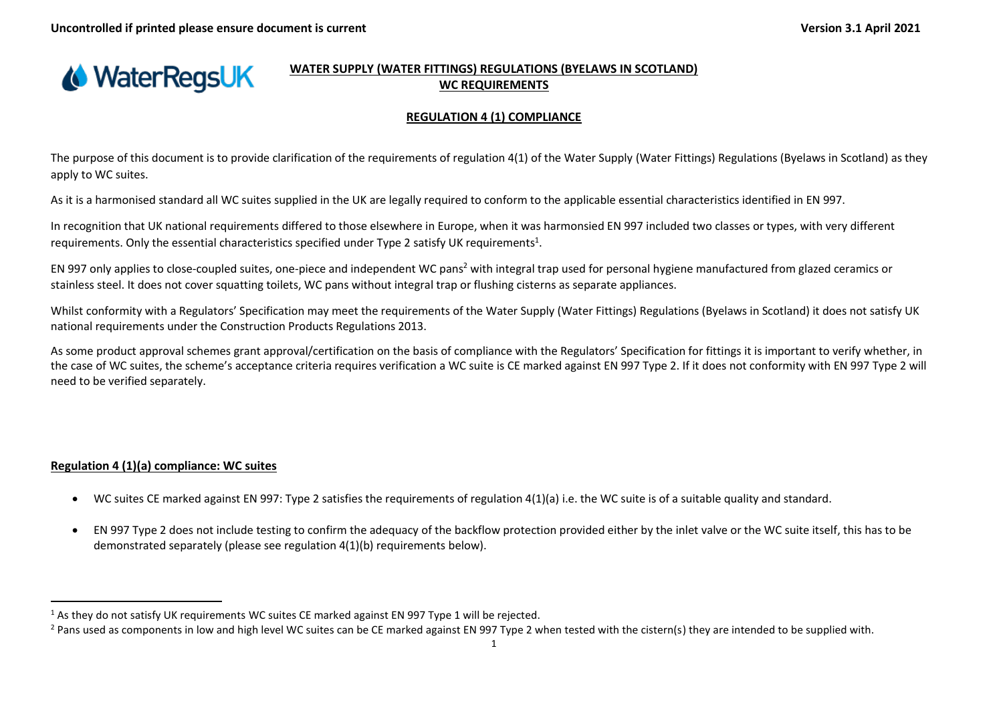

# **WATER SUPPLY (WATER FITTINGS) REGULATIONS (BYELAWS IN SCOTLAND) WC REQUIREMENTS**

## **REGULATION 4 (1) COMPLIANCE**

The purpose of this document is to provide clarification of the requirements of regulation 4(1) of the Water Supply (Water Fittings) Regulations (Byelaws in Scotland) as they apply to WC suites.

As it is a harmonised standard all WC suites supplied in the UK are legally required to conform to the applicable essential characteristics identified in EN 997.

In recognition that UK national requirements differed to those elsewhere in Europe, when it was harmonsied EN 997 included two classes or types, with very different requirements. Only the essential characteristics specified under Type 2 satisfy UK requirements<sup>1</sup>.

EN 997 only applies to close-coupled suites, one-piece and independent WC pans<sup>2</sup> with integral trap used for personal hygiene manufactured from glazed ceramics or stainless steel. It does not cover squatting toilets, WC pans without integral trap or flushing cisterns as separate appliances.

Whilst conformity with a Regulators' Specification may meet the requirements of the Water Supply (Water Fittings) Regulations (Byelaws in Scotland) it does not satisfy UK national requirements under the Construction Products Regulations 2013.

As some product approval schemes grant approval/certification on the basis of compliance with the Regulators' Specification for fittings it is important to verify whether, in the case of WC suites, the scheme's acceptance criteria requires verification a WC suite is CE marked against EN 997 Type 2. If it does not conformity with EN 997 Type 2 will need to be verified separately.

# **Regulation 4 (1)(a) compliance: WC suites**

- WC suites CE marked against EN 997: Type 2 satisfies the requirements of regulation 4(1)(a) i.e. the WC suite is of a suitable quality and standard.
- EN 997 Type 2 does not include testing to confirm the adequacy of the backflow protection provided either by the inlet valve or the WC suite itself, this has to be demonstrated separately (please see regulation 4(1)(b) requirements below).

 $1$  As they do not satisfy UK requirements WC suites CE marked against EN 997 Type 1 will be rejected.

<sup>&</sup>lt;sup>2</sup> Pans used as components in low and high level WC suites can be CE marked against EN 997 Type 2 when tested with the cistern(s) they are intended to be supplied with.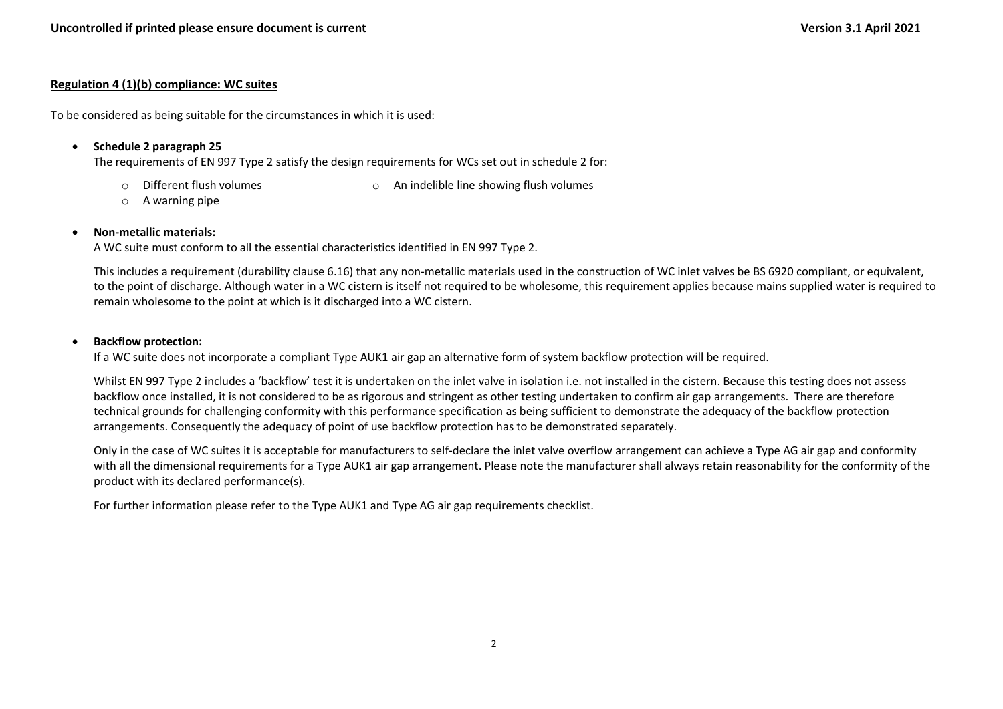# **Regulation 4 (1)(b) compliance: WC suites**

To be considered as being suitable for the circumstances in which it is used:

• **Schedule 2 paragraph 25**

The requirements of EN 997 Type 2 satisfy the design requirements for WCs set out in schedule 2 for:

- 
- o Different flush volumes o An indelible line showing flush volumes
- o A warning pipe

# • **Non-metallic materials:**

A WC suite must conform to all the essential characteristics identified in EN 997 Type 2.

This includes a requirement (durability clause 6.16) that any non-metallic materials used in the construction of WC inlet valves be BS 6920 compliant, or equivalent, to the point of discharge. Although water in a WC cistern is itself not required to be wholesome, this requirement applies because mains supplied water is required to remain wholesome to the point at which is it discharged into a WC cistern.

### • **Backflow protection:**

If a WC suite does not incorporate a compliant Type AUK1 air gap an alternative form of system backflow protection will be required.

Whilst EN 997 Type 2 includes a 'backflow' test it is undertaken on the inlet valve in isolation i.e. not installed in the cistern. Because this testing does not assess backflow once installed, it is not considered to be as rigorous and stringent as other testing undertaken to confirm air gap arrangements. There are therefore technical grounds for challenging conformity with this performance specification as being sufficient to demonstrate the adequacy of the backflow protection arrangements. Consequently the adequacy of point of use backflow protection has to be demonstrated separately.

Only in the case of WC suites it is acceptable for manufacturers to self-declare the inlet valve overflow arrangement can achieve a Type AG air gap and conformity with all the dimensional requirements for a Type AUK1 air gap arrangement. Please note the manufacturer shall always retain reasonability for the conformity of the product with its declared performance(s).

For further information please refer to the Type AUK1 and Type AG air gap requirements checklist.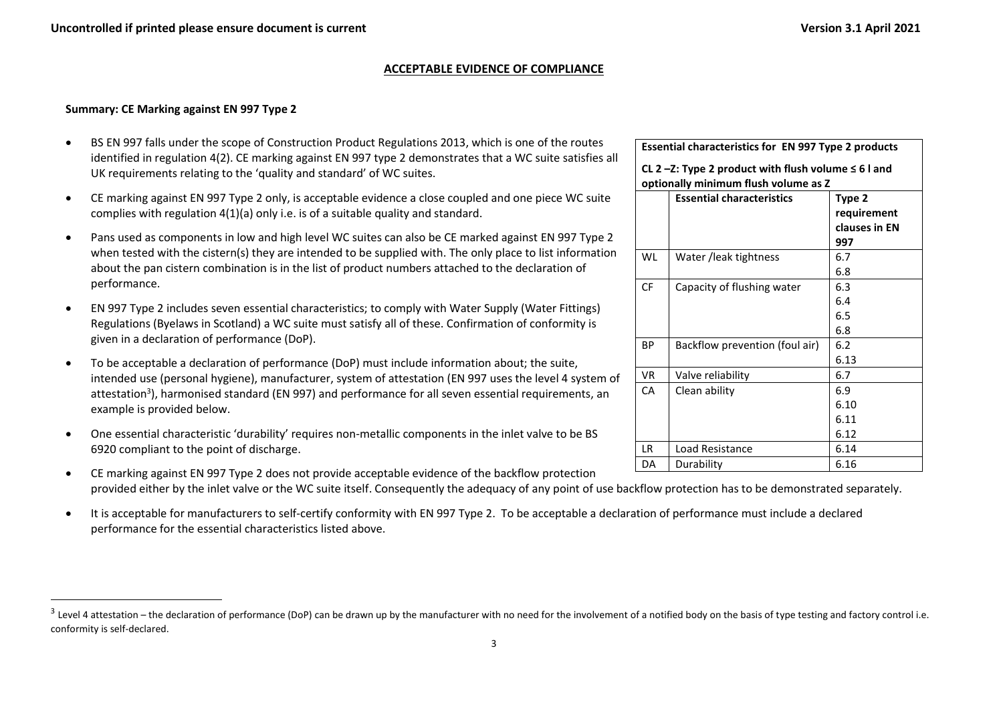### **ACCEPTABLE EVIDENCE OF COMPLIANCE**

# **Summary: CE Marking against EN 997 Type 2**

- BS EN 997 falls under the scope of Construction Product Regulations 2013, which is one of the routes identified in regulation 4(2). CE marking against EN 997 type 2 demonstrates that a WC suite satisfies all UK requirements relating to the 'quality and standard' of WC suites.
- CE marking against EN 997 Type 2 only, is acceptable evidence a close coupled and one piece WC suite complies with regulation 4(1)(a) only i.e. is of a suitable quality and standard.
- Pans used as components in low and high level WC suites can also be CE marked against EN 997 Type 2 when tested with the cistern(s) they are intended to be supplied with. The only place to list information about the pan cistern combination is in the list of product numbers attached to the declaration of performance.
- EN 997 Type 2 includes seven essential characteristics; to comply with Water Supply (Water Fittings) Regulations (Byelaws in Scotland) a WC suite must satisfy all of these. Confirmation of conformity is given in a declaration of performance (DoP).
- To be acceptable a declaration of performance (DoP) must include information about; the suite, intended use (personal hygiene), manufacturer, system of attestation (EN 997 uses the level 4 system of attestation<sup>3</sup>), harmonised standard (EN 997) and performance for all seven essential requirements, an example is provided below.
- One essential characteristic 'durability' requires non-metallic components in the inlet valve to be BS 6920 compliant to the point of discharge.
- CE marking against EN 997 Type 2 does not provide acceptable evidence of the backflow protection provided either by the inlet valve or the WC suite itself. Consequently the adequacy of any point of use backflow protection has to be demonstrated separately.
- It is acceptable for manufacturers to self-certify conformity with EN 997 Type 2. To be acceptable a declaration of performance must include a declared performance for the essential characteristics listed above.

|           | <b>Essential characteristics for EN 997 Type 2 products</b><br>CL 2 -Z: Type 2 product with flush volume $\leq 6$ l and |                                               |  |  |  |
|-----------|-------------------------------------------------------------------------------------------------------------------------|-----------------------------------------------|--|--|--|
|           |                                                                                                                         |                                               |  |  |  |
|           | optionally minimum flush volume as Z<br><b>Essential characteristics</b>                                                | Type 2<br>requirement<br>clauses in EN<br>997 |  |  |  |
| WL        | Water /leak tightness                                                                                                   | 6.7<br>6.8                                    |  |  |  |
| <b>CF</b> | Capacity of flushing water                                                                                              | 6.3<br>6.4<br>6.5<br>6.8                      |  |  |  |
| <b>BP</b> | Backflow prevention (foul air)                                                                                          | 6.2<br>6.13                                   |  |  |  |
| VR.       | Valve reliability                                                                                                       | 6.7                                           |  |  |  |
| CA        | Clean ability                                                                                                           | 6.9<br>6.10<br>6.11<br>6.12                   |  |  |  |
| IR        | Load Resistance                                                                                                         | 6.14                                          |  |  |  |
| DA        | Durability                                                                                                              | 6.16                                          |  |  |  |

<sup>&</sup>lt;sup>3</sup> Level 4 attestation – the declaration of performance (DoP) can be drawn up by the manufacturer with no need for the involvement of a notified body on the basis of type testing and factory control i.e. conformity is self-declared.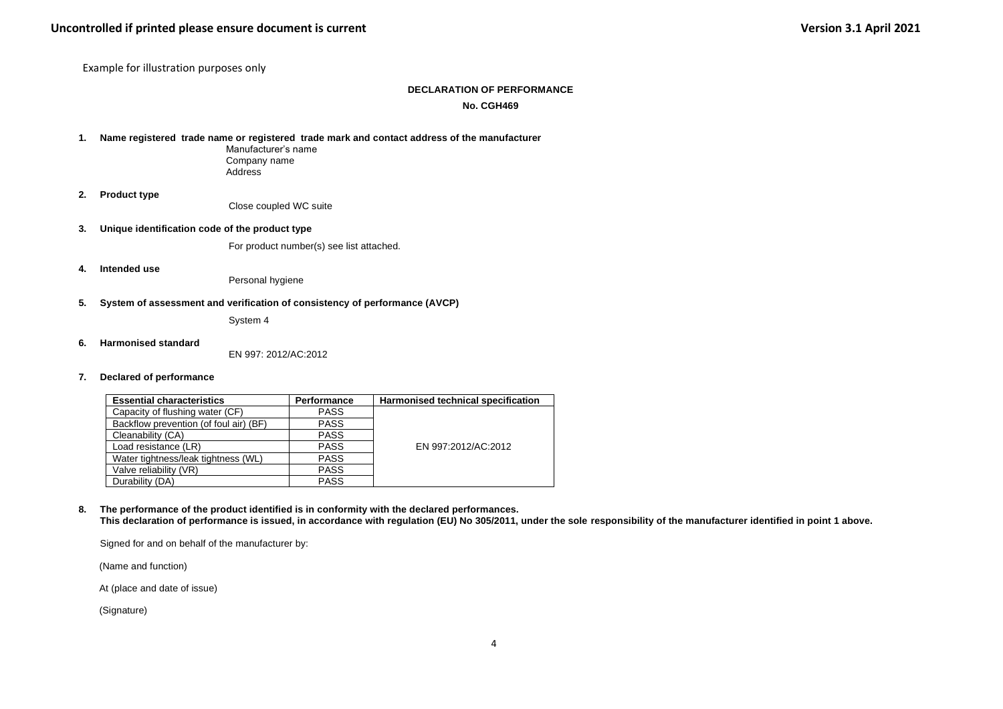Example for illustration purposes only

#### **DECLARATION OF PERFORMANCE**

#### **No. CGH469**

**1. Name registered trade name or registered trade mark and contact address of the manufacturer**

Manufacturer's name Company name **Address** 

**2. Product type**

Close coupled WC suite

**3. Unique identification code of the product type**

For product number(s) see list attached.

**4. Intended use**

Personal hygiene

#### **5. System of assessment and verification of consistency of performance (AVCP)**

System 4

**6. Harmonised standard** 

EN 997: 2012/AC:2012

**7. Declared of performance** 

| <b>Essential characteristics</b>       | Performance | Harmonised technical specification |
|----------------------------------------|-------------|------------------------------------|
| Capacity of flushing water (CF)        | <b>PASS</b> |                                    |
| Backflow prevention (of foul air) (BF) | <b>PASS</b> |                                    |
| Cleanability (CA)                      | <b>PASS</b> |                                    |
| Load resistance (LR)                   | <b>PASS</b> | EN 997:2012/AC:2012                |
| Water tightness/leak tightness (WL)    | <b>PASS</b> |                                    |
| Valve reliability (VR)                 | <b>PASS</b> |                                    |
| Durability (DA)                        | <b>PASS</b> |                                    |

**8. The performance of the product identified is in conformity with the declared performances. This declaration of performance is issued, in accordance with regulation (EU) No 305/2011, under the sole responsibility of the manufacturer identified in point 1 above.**

Signed for and on behalf of the manufacturer by:

(Name and function)

At (place and date of issue)

(Signature)